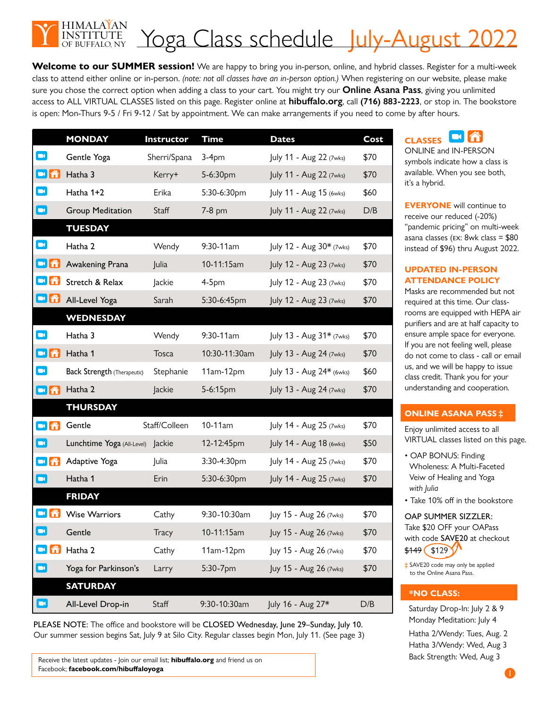

Welcome to our SUMMER session! We are happy to bring you in-person, online, and hybrid classes. Register for a multi-week class to attend either online or in-person. *(note: not all classes have an in-person option.)* When registering on our website, please make sure you chose the correct option when adding a class to your cart. You might try our **Online Asana Pass**, giving you unlimited access to ALL VIRTUAL CLASSES listed on this page. Register online at **hibuffalo.org**, call **(716) 883-2223**, or stop in. The bookstore is open: Mon-Thurs 9-5 / Fri 9-12 / Sat by appointment. We can make arrangements if you need to come by after hours.

|                               | <b>MONDAY</b>                      | Instructor    | <b>Time</b>   | <b>Dates</b>             | Cost |
|-------------------------------|------------------------------------|---------------|---------------|--------------------------|------|
| $\blacksquare$                | Gentle Yoga                        | Sherri/Spana  | $3-4pm$       | July 11 - Aug 22 (7wks)  | \$70 |
| $\blacksquare$ and            | Hatha 3                            | Kerry+        | 5-6:30pm      | July 11 - Aug 22 (7wks)  | \$70 |
| $\blacksquare$                | Hatha 1+2                          | Erika         | 5:30-6:30pm   | July 11 - Aug 15 (6wks)  | \$60 |
| $\blacksquare$                | <b>Group Meditation</b>            | Staff         | 7-8 pm        | July 11 - Aug 22 (7wks)  | D/B  |
|                               | <b>TUESDAY</b>                     |               |               |                          |      |
| $\blacksquare$                | Hatha 2                            | Wendy         | 9:30-11am     | July 12 - Aug 30* (7wks) | \$70 |
| $\blacksquare$ $\blacksquare$ | Awakening Prana                    | Julia         | 10-11:15am    | July 12 - Aug 23 (7wks)  | \$70 |
| <b>dâ</b>                     | Stretch & Relax                    | Jackie        | $4-5pm$       | July 12 - Aug 23 (7wks)  | \$70 |
| $\blacksquare$ $\spadesuit$   | All-Level Yoga                     | Sarah         | 5:30-6:45pm   | July 12 - Aug 23 (7wks)  | \$70 |
|                               | <b>WEDNESDAY</b>                   |               |               |                          |      |
| $\blacksquare$                | Hatha 3                            | Wendy         | 9:30-11am     | July 13 - Aug 31* (7wks) | \$70 |
| <b>dâ</b>                     | Hatha 1                            | Tosca         | 10:30-11:30am | July 13 - Aug 24 (7wks)  | \$70 |
| $\blacksquare$                | <b>Back Strength (Therapeutic)</b> | Stephanie     | 11am-12pm     | July 13 - Aug 24* (6wks) | \$60 |
| <b>då</b>                     | Hatha 2                            | Jackie        | 5-6:15pm      | July 13 - Aug 24 (7wks)  | \$70 |
|                               | <b>THURSDAY</b>                    |               |               |                          |      |
| $\blacksquare$ â              | Gentle                             | Staff/Colleen | 10-11am       | July 14 - Aug 25 (7wks)  | \$70 |
| $\blacksquare$                | Lunchtime Yoga (All-Level) Jackie  |               | 12-12:45pm    | July 14 - Aug 18 (6wks)  | \$50 |
| $\blacksquare$ â              | Adaptive Yoga                      | Julia         | 3:30-4:30pm   | July 14 - Aug 25 (7wks)  | \$70 |
| $\blacksquare$                | Hatha 1                            | Erin          | 5:30-6:30pm   | July 14 - Aug 25 (7wks)  | \$70 |
|                               | <b>FRIDAY</b>                      |               |               |                          |      |
| OÂ.                           | <b>Wise Warriors</b>               | Cathy         | 9:30-10:30am  | Juy 15 - Aug 26 (7wks)   | \$70 |
| $\blacksquare$                | Gentle                             | Tracy         | 10-11:15am    | Juy 15 - Aug 26 (7wks)   | \$70 |
| $\blacksquare$ â              | Hatha 2                            | Cathy         | 11am-12pm     | Juy 15 - Aug 26 (7wks)   | \$70 |
| $\blacksquare$                | Yoga for Parkinson's               | Larry         | 5:30-7pm      | Juy 15 - Aug 26 (7wks)   | \$70 |
|                               | <b>SATURDAY</b>                    |               |               |                          |      |
| $\blacksquare$                | All-Level Drop-in                  | Staff         | 9:30-10:30am  | July 16 - Aug 27*        | D/B  |

PLEASE NOTE: The office and bookstore will be CLOSED Wednesday, June 29–Sunday, July 10. Our summer session begins Sat, July 9 at Silo City. Regular classes begin Mon, July 11. (See page 3)

Receive the latest updates - Join our email list; **hibuffalo.org** and friend us on Facebook; **facebook.com/hibuffaloyoga**

#### $\overline{\phantom{a}}$ **CLASSES**

ONLINE and IN-PERSON symbols indicate how a class is available. When you see both, it's a hybrid.

**EVERYONE** will continue to receive our reduced (-20%) "pandemic pricing" on multi-week asana classes (ex: 8wk class = \$80 instead of \$96) thru August 2022.

#### **UPDATED IN-PERSON ATTENDANCE POLICY**

Masks are recommended but not required at this time. Our classrooms are equipped with HEPA air purifiers and are at half capacity to ensure ample space for everyone. If you are not feeling well, please do not come to class - call or email us, and we will be happy to issue class credit. Thank you for your understanding and cooperation.

### **ONLINE ASANA PASS ‡**

Enjoy unlimited access to all VIRTUAL classes listed on this page.

- OAP BONUS: Finding Wholeness: A Multi-Faceted Veiw of Healing and Yoga *with Julia*
- Take 10% off in the bookstore

OAP SUMMER SIZZLER: Take \$20 OFF your OAPass with code SAVE20 at checkout  $$149$  (\$129)

**‡** SAVE20 code may only be applied to the Online Asana Pass.

#### **\*NO CLASS:**

Saturday Drop-In: July 2 & 9 Monday Meditation: July 4 Hatha 2/Wendy: Tues, Aug. 2 Hatha 3/Wendy: Wed, Aug 3 Back Strength: Wed, Aug 3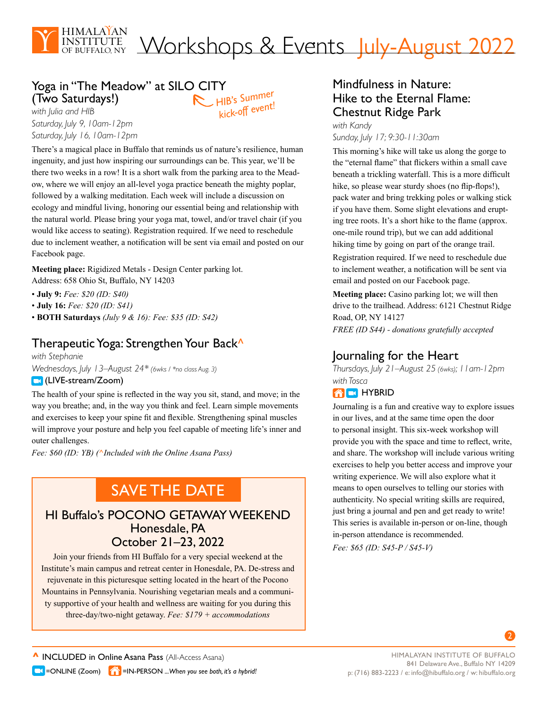

# Workshops & Events July-August 2022

#### Yoga in "The Meadow" at SILO CITY (Two Saturdays!) *HIB's Summer kick-off event!*

*with Julia and HIB Saturday, July 9, 10am-12pm Saturday, July 16, 10am-12pm*

There's a magical place in Buffalo that reminds us of nature's resilience, human ingenuity, and just how inspiring our surroundings can be. This year, we'll be there two weeks in a row! It is a short walk from the parking area to the Meadow, where we will enjoy an all-level yoga practice beneath the mighty poplar, followed by a walking meditation. Each week will include a discussion on ecology and mindful living, honoring our essential being and relationship with the natural world. Please bring your yoga mat, towel, and/or travel chair (if you would like access to seating). Registration required. If we need to reschedule due to inclement weather, a notification will be sent via email and posted on our Facebook page.

**Meeting place:** Rigidized Metals - Design Center parking lot. Address: 658 Ohio St, Buffalo, NY 14203

• **July 9:** *Fee: \$20 (ID: S40)*

• **July 16:** *Fee: \$20 (ID: S41)*

• **BOTH Saturdays** *(July 9 & 16): Fee: \$35 (ID: S42)*

## Therapeutic Yoga: Strengthen Your Back<sup>^</sup>

*with Stephanie Wednesdays, July 13–August 24\* (6wks / \*no class Aug. 3)*

#### **C**(LIVE-stream/Zoom)

The health of your spine is reflected in the way you sit, stand, and move; in the way you breathe; and, in the way you think and feel. Learn simple movements and exercises to keep your spine fit and flexible. Strengthening spinal muscles will improve your posture and help you feel capable of meeting life's inner and outer challenges.

*Fee: \$60 (ID: YB) (***^***Included with the Online Asana Pass)*

## SAVE THE DATE

## HI Buffalo's POCONO GETAWAY WEEKEND Honesdale, PA October 21–23, 2022

Join your friends from HI Buffalo for a very special weekend at the Institute's main campus and retreat center in Honesdale, PA. De-stress and rejuvenate in this picturesque setting located in the heart of the Pocono Mountains in Pennsylvania. Nourishing vegetarian meals and a community supportive of your health and wellness are waiting for you during this three-day/two-night getaway. *Fee: \$179 + accommodations*

## Mindfulness in Nature: Hike to the Eternal Flame: Chestnut Ridge Park

*with Kandy Sunday, July 17; 9:30-11:30am*

This morning's hike will take us along the gorge to the "eternal flame" that flickers within a small cave beneath a trickling waterfall. This is a more difficult hike, so please wear sturdy shoes (no flip-flops!), pack water and bring trekking poles or walking stick if you have them. Some slight elevations and erupting tree roots. It's a short hike to the flame (approx. one-mile round trip), but we can add additional hiking time by going on part of the orange trail.

Registration required. If we need to reschedule due to inclement weather, a notification will be sent via email and posted on our Facebook page.

**Meeting place:** Casino parking lot; we will then drive to the trailhead. Address: 6121 Chestnut Ridge Road, OP, NY 14127

*FREE (ID S44) - donations gratefully accepted*

## Journaling for the Heart

*Thursdays, July 21–August 25 (6wks); 11am-12pm with Tosca* 

### **AD** HYBRID

Journaling is a fun and creative way to explore issues in our lives, and at the same time open the door to personal insight. This six-week workshop will provide you with the space and time to reflect, write, and share. The workshop will include various writing exercises to help you better access and improve your writing experience. We will also explore what it means to open ourselves to telling our stories with authenticity. No special writing skills are required, just bring a journal and pen and get ready to write! This series is available in-person or on-line, though in-person attendance is recommended. *Fee: \$65 (ID: S45-P / S45-V)*

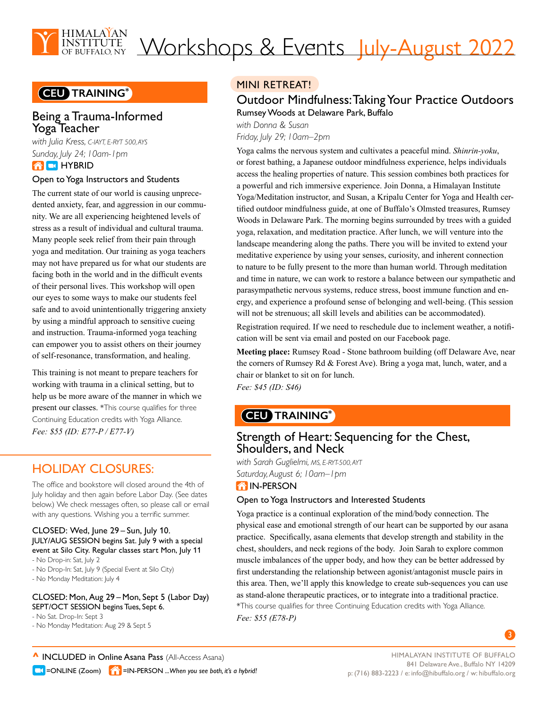

# Workshops & Events July-August 2022

## **CEU TRAINING\***

## Being a Trauma-Informed Yoga Teacher

*with Julia Kress, C-IAYT, E-RYT 500, AYS Sunday, July 24; 10am-1pm* **THE HYBRID** 

## Open to Yoga Instructors and Students

The current state of our world is causing unprecedented anxiety, fear, and aggression in our community. We are all experiencing heightened levels of stress as a result of individual and cultural trauma. Many people seek relief from their pain through yoga and meditation. Our training as yoga teachers may not have prepared us for what our students are facing both in the world and in the difficult events of their personal lives. This workshop will open our eyes to some ways to make our students feel safe and to avoid unintentionally triggering anxiety by using a mindful approach to sensitive cueing and instruction. Trauma-informed yoga teaching can empower you to assist others on their journey of self-resonance, transformation, and healing.

This training is not meant to prepare teachers for working with trauma in a clinical setting, but to help us be more aware of the manner in which we present our classes. \*This course qualifies for three Continuing Education credits with Yoga Alliance. *Fee: \$55 (ID: E77-P / E77-V)*

## HOLIDAY CLOSURES:

The office and bookstore will closed around the 4th of July holiday and then again before Labor Day. (See dates below.) We check messages often, so please call or email with any questions. Wishing you a terrific summer.

#### CLOSED: Wed, June 29 – Sun, July 10. JULY/AUG SESSION begins Sat. July 9 with a special event at Silo City. Regular classes start Mon, July 11

- No Drop-in: Sat, July 2
- No Drop-In: Sat, July 9 (Special Event at Silo City)
- No Monday Meditation: July 4

#### CLOSED: Mon, Aug 29 – Mon, Sept 5 (Labor Day) SEPT/OCT SESSION begins Tues, Sept 6.

- No Sat. Drop-In: Sept 3
- No Monday Meditation: Aug 29 & Sept 5

## MINI RETREAT!

## Outdoor Mindfulness: Taking Your Practice Outdoors Rumsey Woods at Delaware Park, Buffalo

*with Donna & Susan Friday, July 29; 10am–2pm*

Yoga calms the nervous system and cultivates a peaceful mind. *Shinrin-yoku*, or forest bathing, a Japanese outdoor mindfulness experience, helps individuals access the healing properties of nature. This session combines both practices for a powerful and rich immersive experience. Join Donna, a Himalayan Institute Yoga/Meditation instructor, and Susan, a Kripalu Center for Yoga and Health certified outdoor mindfulness guide, at one of Buffalo's Olmsted treasures, Rumsey Woods in Delaware Park. The morning begins surrounded by trees with a guided yoga, relaxation, and meditation practice. After lunch, we will venture into the landscape meandering along the paths. There you will be invited to extend your meditative experience by using your senses, curiosity, and inherent connection to nature to be fully present to the more than human world. Through meditation and time in nature, we can work to restore a balance between our sympathetic and parasympathetic nervous systems, reduce stress, boost immune function and energy, and experience a profound sense of belonging and well-being. (This session will not be strenuous; all skill levels and abilities can be accommodated).

Registration required. If we need to reschedule due to inclement weather, a notification will be sent via email and posted on our Facebook page.

**Meeting place:** Rumsey Road - Stone bathroom building (off Delaware Ave, near the corners of Rumsey Rd & Forest Ave). Bring a yoga mat, lunch, water, and a chair or blanket to sit on for lunch.

*Fee: \$45 (ID: S46)*

## **CEU TRAINING\***

## Strength of Heart: Sequencing for the Chest, Shoulders, and Neck

*with Sarah Guglielmi, MS, E-RYT-500, AYT Saturday, August 6; 10am–1pm*

#### **THE IN-PERSON**

#### Open to Yoga Instructors and Interested Students

Yoga practice is a continual exploration of the mind/body connection. The physical ease and emotional strength of our heart can be supported by our asana practice. Specifically, asana elements that develop strength and stability in the chest, shoulders, and neck regions of the body. Join Sarah to explore common muscle imbalances of the upper body, and how they can be better addressed by first understanding the relationship between agonist/antagonist muscle pairs in this area. Then, we'll apply this knowledge to create sub-sequences you can use as stand-alone therapeutic practices, or to integrate into a traditional practice. \*This course qualifies for three Continuing Education credits with Yoga Alliance. *Fee: \$55 (E78-P)*